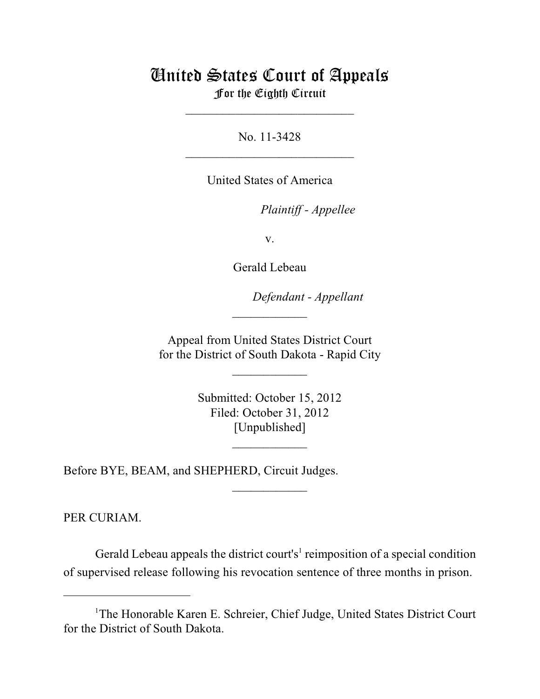## United States Court of Appeals For the Eighth Circuit

\_\_\_\_\_\_\_\_\_\_\_\_\_\_\_\_\_\_\_\_\_\_\_\_\_\_\_

No. 11-3428  $\mathcal{L}_\text{max}$  , which is a set of the set of the set of the set of the set of the set of the set of the set of the set of the set of the set of the set of the set of the set of the set of the set of the set of the set of

United States of America

Plaintiff - Appellee

v.

Gerald Lebeau

lllllllllllllllllllll *Defendant - Appellant*

 Appeal from United States District Court for the District of South Dakota - Rapid City

 $\overline{\phantom{a}}$  , where  $\overline{\phantom{a}}$ 

 $\frac{1}{2}$ 

 Submitted: October 15, 2012 Filed: October 31, 2012 [Unpublished]

 $\frac{1}{2}$ 

 $\frac{1}{2}$ 

Before BYE, BEAM, and SHEPHERD, Circuit Judges.

PER CURIAM.

Gerald Lebeau appeals the district court's<sup>1</sup> reimposition of a special condition of supervised release following his revocation sentence of three months in prison.

<sup>&</sup>lt;sup>1</sup>The Honorable Karen E. Schreier, Chief Judge, United States District Court for the District of South Dakota.